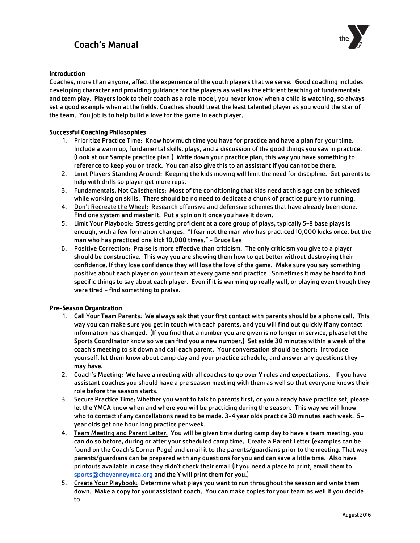## Coach's Manual



## Introduction

Coaches, more than anyone, affect the experience of the youth players that we serve. Good coaching includes developing character and providing guidance for the players as well as the efficient teaching of fundamentals and team play. Players look to their coach as a role model, you never know when a child is watching, so always set a good example when at the fields. Coaches should treat the least talented player as you would the star of the team. You job is to help build a love for the game in each player.

## Successful Coaching Philosophies

- 1. Prioritize Practice Time: Know how much time you have for practice and have a plan for your time. Include a warm up, fundamental skills, plays, and a discussion of the good things you saw in practice. (Look at our Sample practice plan.) Write down your practice plan, this way you have something to reference to keep you on track. You can also give this to an assistant if you cannot be there.
- 2. Limit Players Standing Around: Keeping the kids moving will limit the need for discipline. Get parents to help with drills so player get more reps.
- 3. Fundamentals, Not Calisthenics: Most of the conditioning that kids need at this age can be achieved while working on skills. There should be no need to dedicate a chunk of practice purely to running.
- 4. Don't Recreate the Wheel: Research offensive and defensive schemes that have already been done. Find one system and master it. Put a spin on it once you have it down.
- 5. Limit Your Playbook: Stress getting proficient at a core group of plays, typically 5-8 base plays is enough, with a few formation changes. "I fear not the man who has practiced 10,000 kicks once, but the man who has practiced one kick 10,000 times." - Bruce Lee
- 6. Positive Correction: Praise is more effective than criticism. The only criticism you give to a player should be constructive. This way you are showing them how to get better without destroying their confidence. If they lose confidence they will lose the love of the game. Make sure you say something positive about each player on your team at every game and practice. Sometimes it may be hard to find specific things to say about each player. Even if it is warming up really well, or playing even though they were tired - find something to praise.

### Pre-Season Organization

- 1. Call Your Team Parents: We always ask that your first contact with parents should be a phone call. This way you can make sure you get in touch with each parents, and you will find out quickly if any contact information has changed. (If you find that a number you are given is no longer in service, please let the Sports Coordinator know so we can find you a new number.) Set aside 30 minutes within a week of the coach's meeting to sit down and call each parent. Your conversation should be short: Introduce yourself, let them know about camp day and your practice schedule, and answer any questions they may have.
- 2. Coach's Meeting: We have a meeting with all coaches to go over Y rules and expectations. If you have assistant coaches you should have a pre season meeting with them as well so that everyone knows their role before the season starts.
- 3. Secure Practice Time: Whether you want to talk to parents first, or you already have practice set, please let the YMCA know when and where you will be practicing during the season. This way we will know who to contact if any cancellations need to be made. 3-4 year olds practice 30 minutes each week. 5+ year olds get one hour long practice per week.
- 4. Team Meeting and Parent Letter: You will be given time during camp day to have a team meeting, you can do so before, during or after your scheduled camp time. Create a Parent Letter (examples can be found on the Coach's Corner Page) and email it to the parents/guardians prior to the meeting. That way parents/guardians can be prepared with any questions for you and can save a little time. Also have [printouts available in case t](mailto:sports@cheyenneymca.org)hey didn't check their email (if you need a place to print, email them to sports@cheyenneymca.org and the Y will print them for you.)
- 5. Create Your Playbook: Determine what plays you want to run throughout the season and write them down. Make a copy for your assistant coach. You can make copies for your team as well if you decide to.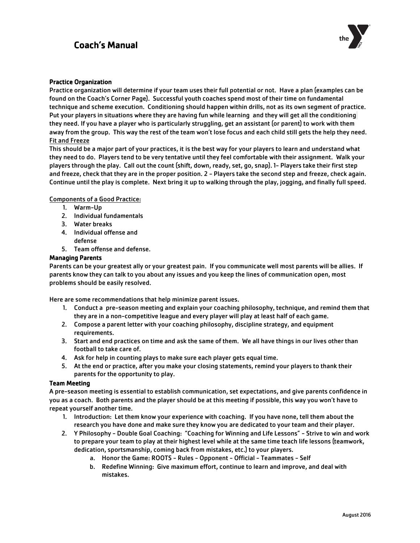## Coach's Manual



#### Practice Organization

Practice organization will determine if your team uses their full potential or not. Have a plan (examples can be found on the Coach's Corner Page). Successful youth coaches spend most of their time on fundamental technique and scheme execution. Conditioning should happen within drills, not as its own segment of practice. Put your players in situations where they are having fun while learning and they will get all the conditioning they need. If you have a player who is particularly struggling, get an assistant (or parent) to work with them away from the group. This way the rest of the team won't lose focus and each child still gets the help they need. Fit and Freeze

This should be a major part of your practices, it is the best way for your players to learn and understand what they need to do. Players tend to be very tentative until they feel comfortable with their assignment. Walk your players through the play. Call out the count (shift, down, ready, set, go, snap). 1- Players take their first step and freeze, check that they are in the proper position. 2 - Players take the second step and freeze, check again. Continue until the play is complete. Next bring it up to walking through the play, jogging, and finally full speed.

#### Components of a Good Practice:

- 1. Warm-Up
- 2. Individual fundamentals
- 3. Water breaks
- 4. Individual offense and defense
- 5. Team offense and defense.

#### Managing Parents

Parents can be your greatest ally or your greatest pain. If you communicate well most parents will be allies. If parents know they can talk to you about any issues and you keep the lines of communication open, most problems should be easily resolved.

Here are some recommendations that help minimize parent issues.

- 1. Conduct a pre-season meeting and explain your coaching philosophy, technique, and remind them that they are in a non-competitive league and every player will play at least half of each game.
- 2. Compose a parent letter with your coaching philosophy, discipline strategy, and equipment requirements.
- 3. Start and end practices on time and ask the same of them. We all have things in our lives other than football to take care of.
- 4. Ask for help in counting plays to make sure each player gets equal time.
- 5. At the end or practice, after you make your closing statements, remind your players to thank their parents for the opportunity to play.

#### Team Meeting

A pre-season meeting is essential to establish communication, set expectations, and give parents confidence in you as a coach. Both parents and the player should be at this meeting if possible, this way you won't have to repeat yourself another time.

- 1. Introduction: Let them know your experience with coaching. If you have none, tell them about the research you have done and make sure they know you are dedicated to your team and their player.
- 2. Y Philosophy Double Goal Coaching: "Coaching for Winning and Life Lessons" Strive to win and work to prepare your team to play at their highest level while at the same time teach life lessons (teamwork, dedication, sportsmanship, coming back from mistakes, etc.) to your players.
	- a. Honor the Game: ROOTS Rules Opponent Official Teammates Self
	- b. Redefine Winning: Give maximum effort, continue to learn and improve, and deal with mistakes.